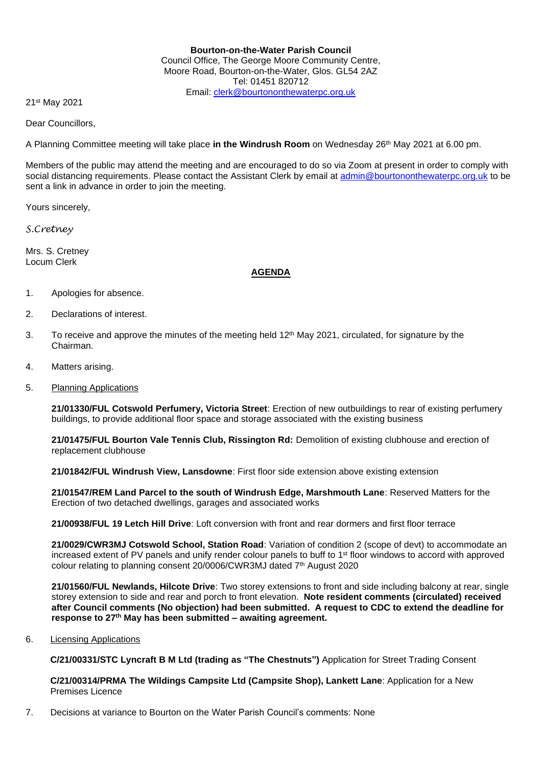## **Bourton-on-the-Water Parish Council** Council Office, The George Moore Community Centre, Moore Road, Bourton-on-the-Water, Glos. GL54 2AZ Tel: 01451 820712 Email: [clerk@bourtononthewaterpc.org.uk](mailto:clerk@bourtononthewaterpc.org.uk)

21st May 2021

Dear Councillors,

A Planning Committee meeting will take place in the Windrush Room on Wednesday 26<sup>th</sup> May 2021 at 6.00 pm.

Members of the public may attend the meeting and are encouraged to do so via Zoom at present in order to comply with social distancing requirements. Please contact the Assistant Clerk by email at [admin@bourtononthewaterpc.org.uk](mailto:admin@bourtononthewaterpc.org.uk) to be sent a link in advance in order to join the meeting.

Yours sincerely,

*S.Cretney*

Mrs. S. Cretney Locum Clerk

## **AGENDA**

- 1. Apologies for absence.
- 2. Declarations of interest.
- 3. To receive and approve the minutes of the meeting held  $12<sup>th</sup>$  May 2021, circulated, for signature by the Chairman.
- 4. Matters arising.
- 5. Planning Applications

**21/01330/FUL Cotswold Perfumery, Victoria Street**: Erection of new outbuildings to rear of existing perfumery buildings, to provide additional floor space and storage associated with the existing business

**21/01475/FUL Bourton Vale Tennis Club, Rissington Rd:** Demolition of existing clubhouse and erection of replacement clubhouse

**21/01842/FUL Windrush View, Lansdowne**: First floor side extension above existing extension

**21/01547/REM Land Parcel to the south of Windrush Edge, Marshmouth Lane**: Reserved Matters for the Erection of two detached dwellings, garages and associated works

**21/00938/FUL 19 Letch Hill Drive**: Loft conversion with front and rear dormers and first floor terrace

**21/0029/CWR3MJ Cotswold School, Station Road**: Variation of condition 2 (scope of devt) to accommodate an increased extent of PV panels and unify render colour panels to buff to 1st floor windows to accord with approved colour relating to planning consent 20/0006/CWR3MJ dated 7<sup>th</sup> August 2020

**21/01560/FUL Newlands, Hilcote Drive**: Two storey extensions to front and side including balcony at rear, single storey extension to side and rear and porch to front elevation. **Note resident comments (circulated) received after Council comments (No objection) had been submitted. A request to CDC to extend the deadline for response to 27th May has been submitted – awaiting agreement.**

6. Licensing Applications

**C/21/00331/STC Lyncraft B M Ltd (trading as "The Chestnuts")** Application for Street Trading Consent

**C/21/00314/PRMA The Wildings Campsite Ltd (Campsite Shop), Lankett Lane**: Application for a New Premises Licence

7. Decisions at variance to Bourton on the Water Parish Council's comments: None